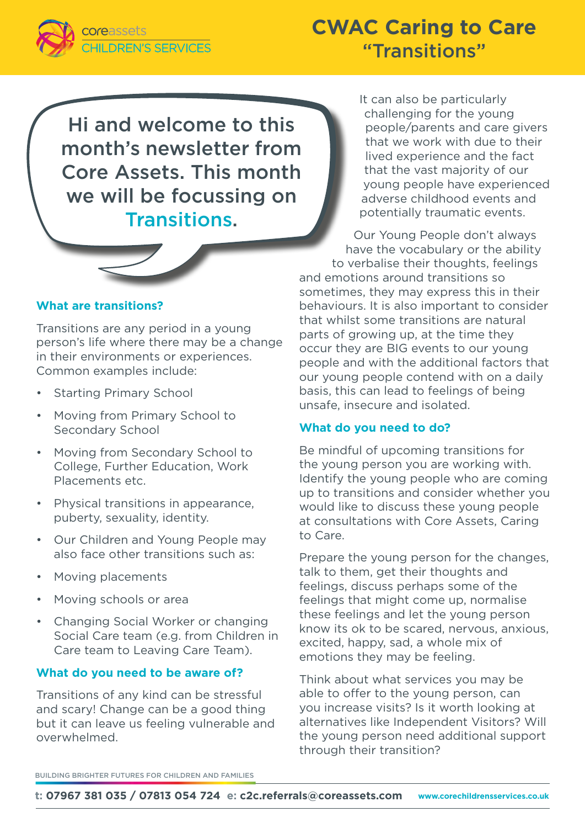

# **CWAC Caring to Care** "Transitions"

Hi and welcome to this month's newsletter from Core Assets. This month we will be focussing on Transitions.



# **What are transitions?**

Transitions are any period in a young person's life where there may be a change in their environments or experiences. Common examples include:

- Starting Primary School
- Moving from Primary School to Secondary School
- Moving from Secondary School to College, Further Education, Work Placements etc.
- Physical transitions in appearance, puberty, sexuality, identity.
- Our Children and Young People may also face other transitions such as:
- Moving placements
- Moving schools or area
- Changing Social Worker or changing Social Care team (e.g. from Children in Care team to Leaving Care Team).

# **What do you need to be aware of?**

Transitions of any kind can be stressful and scary! Change can be a good thing but it can leave us feeling vulnerable and overwhelmed.

It can also be particularly challenging for the young people/parents and care givers that we work with due to their lived experience and the fact that the vast majority of our young people have experienced adverse childhood events and potentially traumatic events.

Our Young People don't always have the vocabulary or the ability to verbalise their thoughts, feelings and emotions around transitions so sometimes, they may express this in their behaviours. It is also important to consider that whilst some transitions are natural parts of growing up, at the time they occur they are BIG events to our young people and with the additional factors that our young people contend with on a daily basis, this can lead to feelings of being unsafe, insecure and isolated.

#### **What do you need to do?**

Be mindful of upcoming transitions for the young person you are working with. Identify the young people who are coming up to transitions and consider whether you would like to discuss these young people at consultations with Core Assets, Caring to Care.

Prepare the young person for the changes, talk to them, get their thoughts and feelings, discuss perhaps some of the feelings that might come up, normalise these feelings and let the young person know its ok to be scared, nervous, anxious, excited, happy, sad, a whole mix of emotions they may be feeling.

Think about what services you may be able to offer to the young person, can you increase visits? Is it worth looking at alternatives like Independent Visitors? Will the young person need additional support through their transition?

BUILDING BRIGHTER FUTURES FOR CHILDREN AND FAMILIES